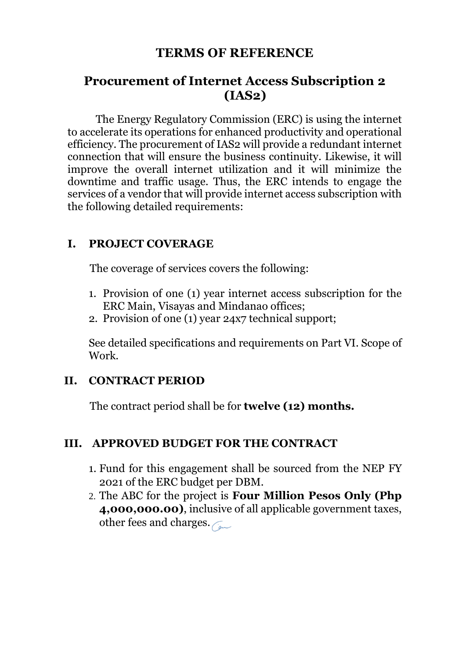# **TERMS OF REFERENCE**

# **Procurement of Internet Access Subscription 2 (IAS2)**

The Energy Regulatory Commission (ERC) is using the internet to accelerate its operations for enhanced productivity and operational efficiency. The procurement of IAS2 will provide a redundant internet connection that will ensure the business continuity. Likewise, it will improve the overall internet utilization and it will minimize the downtime and traffic usage. Thus, the ERC intends to engage the services of a vendor that will provide internet access subscription with the following detailed requirements:

## **I. PROJECT COVERAGE**

The coverage of services covers the following:

- 1. Provision of one (1) year internet access subscription for the ERC Main, Visayas and Mindanao offices;
- 2. Provision of one (1) year 24x7 technical support;

See detailed specifications and requirements on Part VI. Scope of Work.

### **II. CONTRACT PERIOD**

The contract period shall be for **twelve (12) months.**

### **III. APPROVED BUDGET FOR THE CONTRACT**

- 1. Fund for this engagement shall be sourced from the NEP FY 2021 of the ERC budget per DBM.
- 2. The ABC for the project is **Four Million Pesos Only (Php 4,000,000.00)**, inclusive of all applicable government taxes, other fees and charges.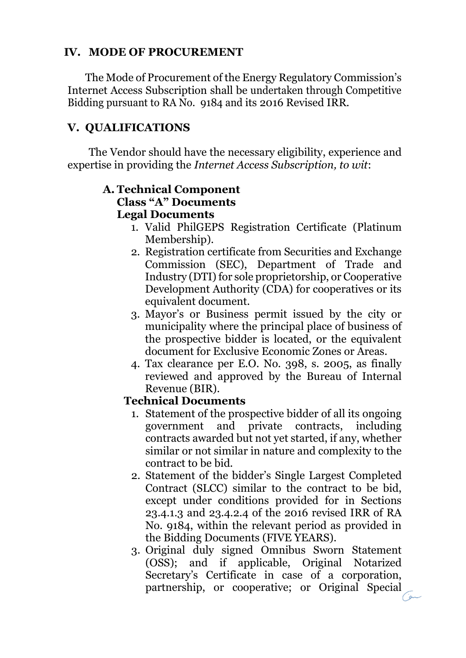# **IV. MODE OF PROCUREMENT**

The Mode of Procurement of the Energy Regulatory Commission's Internet Access Subscription shall be undertaken through Competitive Bidding pursuant to RA No. 9184 and its 2016 Revised IRR.

# **V. QUALIFICATIONS**

The Vendor should have the necessary eligibility, experience and expertise in providing the *Internet Access Subscription, to wit*:

#### **A. Technical Component Class "A" Documents Legal Documents**

- 1. Valid PhilGEPS Registration Certificate (Platinum Membership).
- 2. Registration certificate from Securities and Exchange Commission (SEC), Department of Trade and Industry (DTI) for sole proprietorship, or Cooperative Development Authority (CDA) for cooperatives or its equivalent document.
- 3. Mayor's or Business permit issued by the city or municipality where the principal place of business of the prospective bidder is located, or the equivalent document for Exclusive Economic Zones or Areas.
- 4. Tax clearance per E.O. No. 398, s. 2005, as finally reviewed and approved by the Bureau of Internal Revenue (BIR).

### **Technical Documents**

- 1. Statement of the prospective bidder of all its ongoing government and private contracts, including contracts awarded but not yet started, if any, whether similar or not similar in nature and complexity to the contract to be bid.
- 2. Statement of the bidder's Single Largest Completed Contract (SLCC) similar to the contract to be bid, except under conditions provided for in Sections 23.4.1.3 and 23.4.2.4 of the 2016 revised IRR of RA No. 9184, within the relevant period as provided in the Bidding Documents (FIVE YEARS).
- 3. Original duly signed Omnibus Sworn Statement (OSS); and if applicable, Original Notarized Secretary's Certificate in case of a corporation, partnership, or cooperative; or Original Special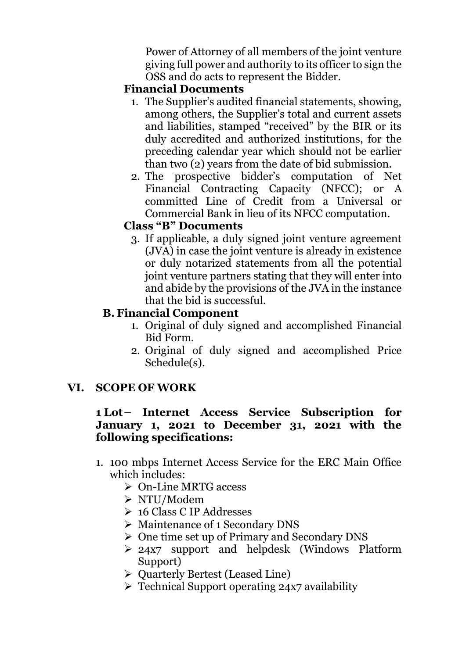Power of Attorney of all members of the joint venture giving full power and authority to its officer to sign the OSS and do acts to represent the Bidder.

### **Financial Documents**

- 1. The Supplier's audited financial statements, showing, among others, the Supplier's total and current assets and liabilities, stamped "received" by the BIR or its duly accredited and authorized institutions, for the preceding calendar year which should not be earlier than two (2) years from the date of bid submission.
- 2. The prospective bidder's computation of Net Financial Contracting Capacity (NFCC); or A committed Line of Credit from a Universal or Commercial Bank in lieu of its NFCC computation.

## **Class "B" Documents**

3. If applicable, a duly signed joint venture agreement (JVA) in case the joint venture is already in existence or duly notarized statements from all the potential joint venture partners stating that they will enter into and abide by the provisions of the JVA in the instance that the bid is successful.

# **B. Financial Component**

- 1. Original of duly signed and accomplished Financial Bid Form.
- 2. Original of duly signed and accomplished Price Schedule(s).

# **VI. SCOPE OF WORK**

## **1 Lot– Internet Access Service Subscription for January 1, 2021 to December 31, 2021 with the following specifications:**

- 1. 100 mbps Internet Access Service for the ERC Main Office which includes:
	- On-Line MRTG access
	- NTU/Modem
	- 16 Class C IP Addresses
	- Maintenance of 1 Secondary DNS
	- One time set up of Primary and Secondary DNS
	- 24x7 support and helpdesk (Windows Platform Support)
	- $\triangleright$  Quarterly Bertest (Leased Line)
	- $\triangleright$  Technical Support operating 24x7 availability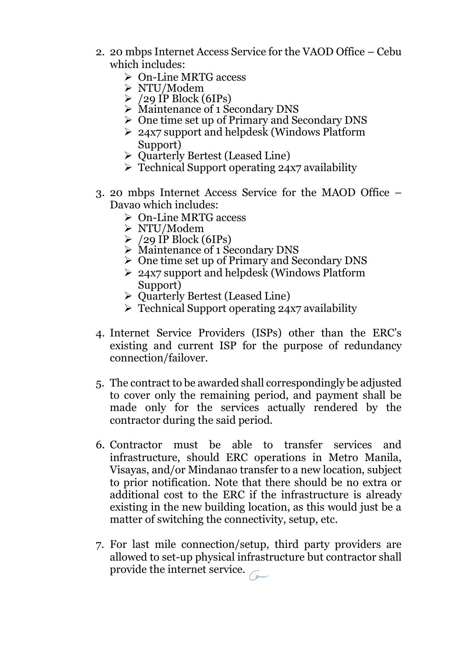- 2. 20 mbps Internet Access Service for the VAOD Office Cebu which includes:
	- On-Line MRTG access
	- NTU/Modem
	- $\geq$  /29 IP Block (6IPs)
	- Maintenance of 1 Secondary DNS
	- One time set up of Primary and Secondary DNS
	- 24x7 support and helpdesk (Windows Platform Support)
	- > Quarterly Bertest (Leased Line)
	- Technical Support operating 24x7 availability
- 3. 20 mbps Internet Access Service for the MAOD Office Davao which includes:
	- On-Line MRTG access
	- NTU/Modem
	- $\geq$  /29 IP Block (6IPs)
	- Maintenance of 1 Secondary DNS
	- One time set up of Primary and Secondary DNS
	- ▶ 24x7 support and helpdesk (Windows Platform Support)
	- $\triangleright$  Ouarterly Bertest (Leased Line)
	- Technical Support operating 24x7 availability
- 4. Internet Service Providers (ISPs) other than the ERC's existing and current ISP for the purpose of redundancy connection/failover.
- 5. The contract to be awarded shall correspondingly be adjusted to cover only the remaining period, and payment shall be made only for the services actually rendered by the contractor during the said period.
- 6. Contractor must be able to transfer services and infrastructure, should ERC operations in Metro Manila, Visayas, and/or Mindanao transfer to a new location, subject to prior notification. Note that there should be no extra or additional cost to the ERC if the infrastructure is already existing in the new building location, as this would just be a matter of switching the connectivity, setup, etc.
- 7. For last mile connection/setup, third party providers are allowed to set-up physical infrastructure but contractor shall provide the internet service.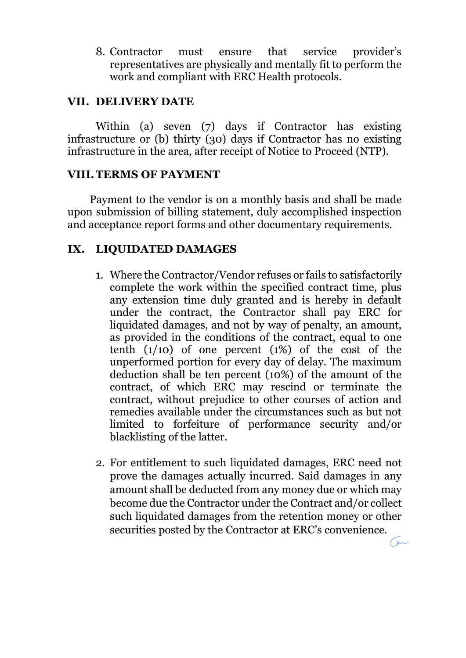8. Contractor must ensure that service provider's representatives are physically and mentally fit to perform the work and compliant with ERC Health protocols.

#### **VII. DELIVERY DATE**

Within (a) seven (7) days if Contractor has existing infrastructure or (b) thirty (30) days if Contractor has no existing infrastructure in the area, after receipt of Notice to Proceed (NTP).

#### **VIII.TERMS OF PAYMENT**

Payment to the vendor is on a monthly basis and shall be made upon submission of billing statement, duly accomplished inspection and acceptance report forms and other documentary requirements.

#### **IX. LIQUIDATED DAMAGES**

- 1. Where the Contractor/Vendor refuses or fails to satisfactorily complete the work within the specified contract time, plus any extension time duly granted and is hereby in default under the contract, the Contractor shall pay ERC for liquidated damages, and not by way of penalty, an amount, as provided in the conditions of the contract, equal to one tenth  $(1/10)$  of one percent  $(1%)$  of the cost of the unperformed portion for every day of delay. The maximum deduction shall be ten percent (10%) of the amount of the contract, of which ERC may rescind or terminate the contract, without prejudice to other courses of action and remedies available under the circumstances such as but not limited to forfeiture of performance security and/or blacklisting of the latter.
- 2. For entitlement to such liquidated damages, ERC need not prove the damages actually incurred. Said damages in any amount shall be deducted from any money due or which may become due the Contractor under the Contract and/or collect such liquidated damages from the retention money or other securities posted by the Contractor at ERC's convenience.  $\sqrt{g}$